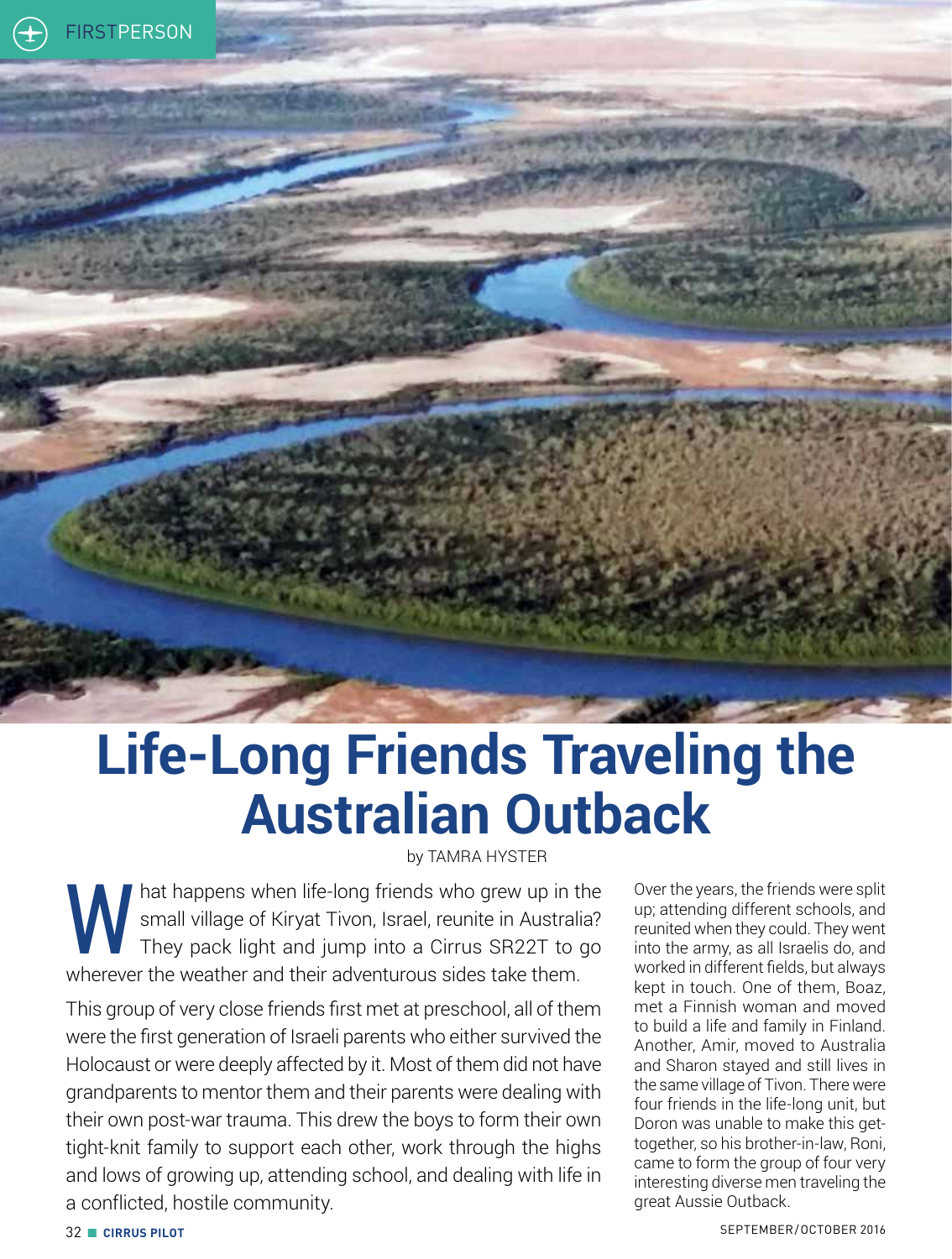## **Life-Long Friends Traveling the Australian Outback**

by TAMRA HYSTER

Mat happens when life-long friends who grew up in the<br>small village of Kiryat Tivon, Israel, reunite in Australia?<br>They pack light and jump into a Cirrus SR22T to go small village of Kiryat Tivon, Israel, reunite in Australia? They pack light and jump into a Cirrus SR22T to go wherever the weather and their adventurous sides take them.

This group of very close friends first met at preschool, all of them were the first generation of Israeli parents who either survived the Holocaust or were deeply affected by it. Most of them did not have grandparents to mentor them and their parents were dealing with their own post-war trauma. This drew the boys to form their own tight-knit family to support each other, work through the highs and lows of growing up, attending school, and dealing with life in a conflicted, hostile community.

Over the years, the friends were split up; attending different schools, and reunited when they could. They went into the army, as all Israelis do, and worked in different fields, but always kept in touch. One of them, Boaz, met a Finnish woman and moved to build a life and family in Finland. Another, Amir, moved to Australia and Sharon stayed and still lives in the same village of Tivon. There were four friends in the life-long unit, but Doron was unable to make this gettogether, so his brother-in-law, Roni, came to form the group of four very interesting diverse men traveling the great Aussie Outback.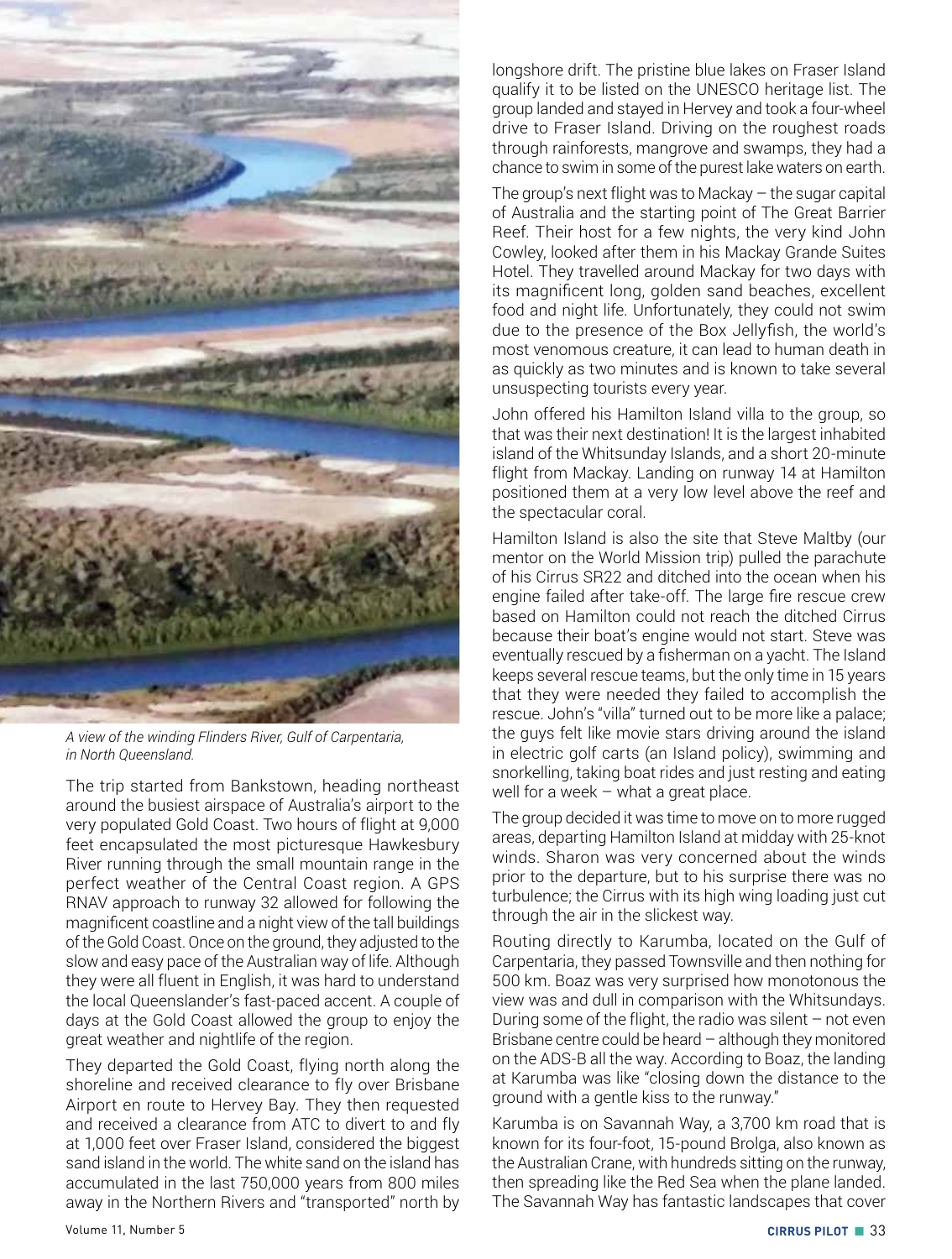

*A view of the winding Flinders River, Gulf of Carpentaria, in North Queensland.*

The trip started from Bankstown, heading northeast around the busiest airspace of Australia's airport to the very populated Gold Coast. Two hours of flight at 9,000 feet encapsulated the most picturesque Hawkesbury River running through the small mountain range in the perfect weather of the Central Coast region. A GPS RNAV approach to runway 32 allowed for following the magnificent coastline and a night view of the tall buildings of the Gold Coast. Once on the ground, they adjusted to the slow and easy pace of the Australian way of life. Although they were all fluent in English, it was hard to understand the local Queenslander's fast-paced accent. A couple of days at the Gold Coast allowed the group to enjoy the great weather and nightlife of the region.

They departed the Gold Coast, flying north along the shoreline and received clearance to fly over Brisbane Airport en route to Hervey Bay. They then requested and received a clearance from ATC to divert to and fly at 1,000 feet over Fraser Island, considered the biggest sand island in the world. The white sand on the island has accumulated in the last 750,000 years from 800 miles away in the Northern Rivers and "transported" north by longshore drift. The pristine blue lakes on Fraser Island qualify it to be listed on the UNESCO heritage list. The group landed and stayed in Hervey and took a four-wheel drive to Fraser Island. Driving on the roughest roads through rainforests, mangrove and swamps, they had a chance to swim in some of the purest lake waters on earth.

The group's next flight was to Mackay  $-$  the sugar capital of Australia and the starting point of The Great Barrier Reef. Their host for a few nights, the very kind John Cowley, looked after them in his Mackay Grande Suites Hotel. They travelled around Mackay for two days with its magnificent long, golden sand beaches, excellent food and night life. Unfortunately, they could not swim due to the presence of the Box Jellyfish, the world's most venomous creature, it can lead to human death in as quickly as two minutes and is known to take several unsuspecting tourists every year.

John offered his Hamilton Island villa to the group, so that was their next destination! It is the largest inhabited island of the Whitsunday Islands, and a short 20-minute flight from Mackay. Landing on runway 14 at Hamilton positioned them at a very low level above the reef and the spectacular coral.

Hamilton Island is also the site that Steve Maltby (our mentor on the World Mission trip) pulled the parachute of his Cirrus SR22 and ditched into the ocean when his engine failed after take-off. The large fire rescue crew based on Hamilton could not reach the ditched Cirrus because their boat's engine would not start. Steve was eventually rescued by a fisherman on a yacht. The Island keeps several rescue teams, but the only time in 15 years that they were needed they failed to accomplish the rescue. John's "villa" turned out to be more like a palace; the guys felt like movie stars driving around the island in electric golf carts (an Island policy), swimming and snorkelling, taking boat rides and just resting and eating well for a week – what a great place.

The group decided it was time to move on to more rugged areas, departing Hamilton Island at midday with 25-knot winds. Sharon was very concerned about the winds prior to the departure, but to his surprise there was no turbulence; the Cirrus with its high wing loading just cut through the air in the slickest way.

Routing directly to Karumba, located on the Gulf of Carpentaria, they passed Townsville and then nothing for 500 km. Boaz was very surprised how monotonous the view was and dull in comparison with the Whitsundays. During some of the flight, the radio was silent  $-$  not even Brisbane centre could be heard – although they monitored on the ADS-B all the way. According to Boaz, the landing at Karumba was like "closing down the distance to the ground with a gentle kiss to the runway."

Karumba is on Savannah Way, a 3,700 km road that is known for its four-foot, 15-pound Brolga, also known as the Australian Crane, with hundreds sitting on the runway, then spreading like the Red Sea when the plane landed. The Savannah Way has fantastic landscapes that cover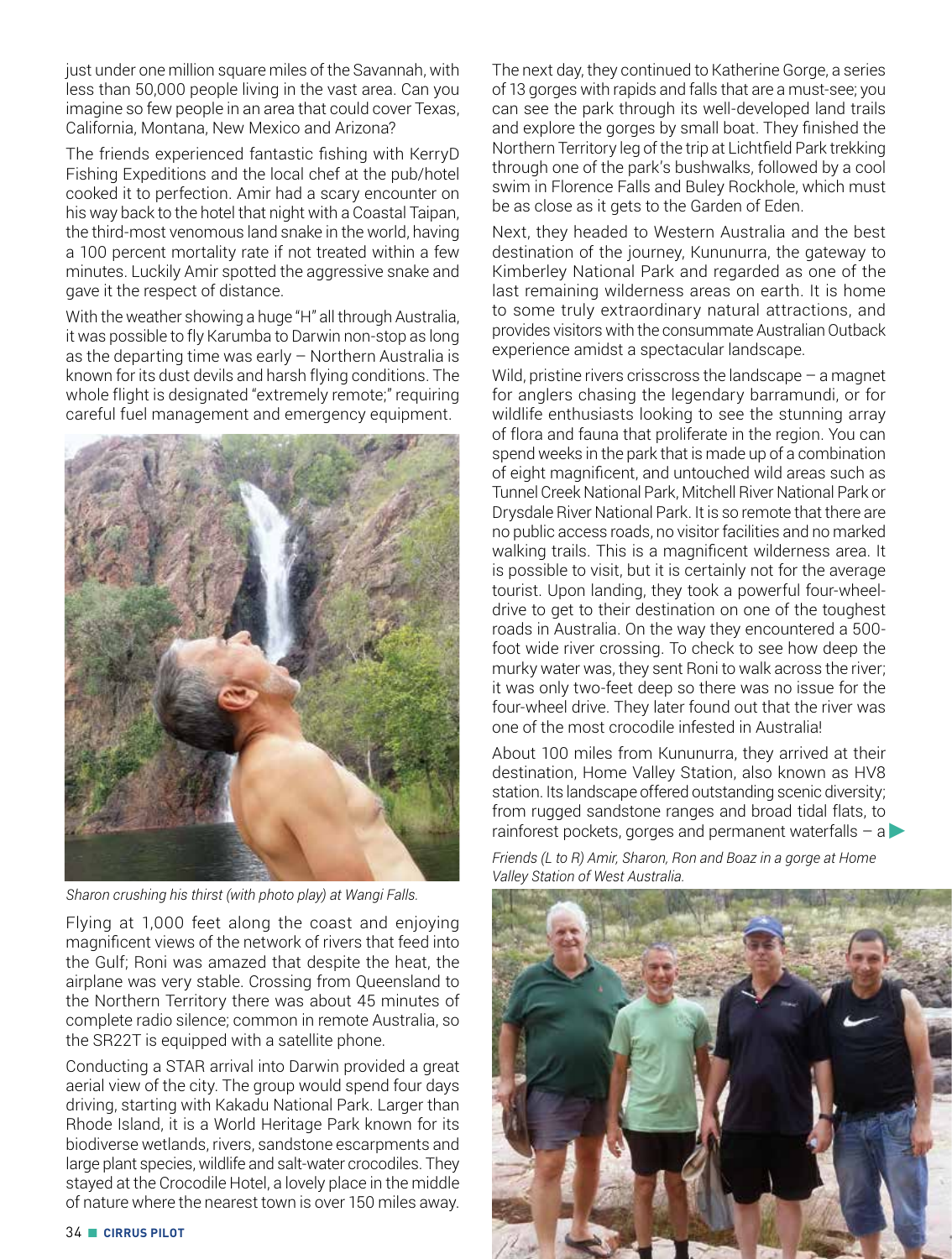just under one million square miles of the Savannah, with less than 50,000 people living in the vast area. Can you imagine so few people in an area that could cover Texas, California, Montana, New Mexico and Arizona?

The friends experienced fantastic fishing with KerryD Fishing Expeditions and the local chef at the pub/hotel cooked it to perfection. Amir had a scary encounter on his way back to the hotel that night with a Coastal Taipan, the third-most venomous land snake in the world, having a 100 percent mortality rate if not treated within a few minutes. Luckily Amir spotted the aggressive snake and gave it the respect of distance.

With the weather showing a huge "H" all through Australia, it was possible to fly Karumba to Darwin non-stop as long as the departing time was early – Northern Australia is known for its dust devils and harsh flying conditions. The whole flight is designated "extremely remote;" requiring careful fuel management and emergency equipment.



*Sharon crushing his thirst (with photo play) at Wangi Falls.*

Flying at 1,000 feet along the coast and enjoying magnificent views of the network of rivers that feed into the Gulf; Roni was amazed that despite the heat, the airplane was very stable. Crossing from Queensland to the Northern Territory there was about 45 minutes of complete radio silence; common in remote Australia, so the SR22T is equipped with a satellite phone.

Conducting a STAR arrival into Darwin provided a great aerial view of the city. The group would spend four days driving, starting with Kakadu National Park. Larger than Rhode Island, it is a World Heritage Park known for its biodiverse wetlands, rivers, sandstone escarpments and large plant species, wildlife and salt-water crocodiles. They stayed at the Crocodile Hotel, a lovely place in the middle of nature where the nearest town is over 150 miles away.

The next day, they continued to Katherine Gorge, a series of 13 gorges with rapids and falls that are a must-see; you can see the park through its well-developed land trails and explore the gorges by small boat. They finished the Northern Territory leg of the trip at Lichtfield Park trekking through one of the park's bushwalks, followed by a cool swim in Florence Falls and Buley Rockhole, which must be as close as it gets to the Garden of Eden.

Next, they headed to Western Australia and the best destination of the journey, Kununurra, the gateway to Kimberley National Park and regarded as one of the last remaining wilderness areas on earth. It is home to some truly extraordinary natural attractions, and provides visitors with the consummate Australian Outback experience amidst a spectacular landscape.

Wild, pristine rivers crisscross the landscape – a magnet for anglers chasing the legendary barramundi, or for wildlife enthusiasts looking to see the stunning array of flora and fauna that proliferate in the region. You can spend weeks in the park that is made up of a combination of eight magnificent, and untouched wild areas such as Tunnel Creek National Park, Mitchell River National Park or Drysdale River National Park. It is so remote that there are no public access roads, no visitor facilities and no marked walking trails. This is a magnificent wilderness area. It is possible to visit, but it is certainly not for the average tourist. Upon landing, they took a powerful four-wheeldrive to get to their destination on one of the toughest roads in Australia. On the way they encountered a 500 foot wide river crossing. To check to see how deep the murky water was, they sent Roni to walk across the river; it was only two-feet deep so there was no issue for the four-wheel drive. They later found out that the river was one of the most crocodile infested in Australia!

About 100 miles from Kununurra, they arrived at their destination, Home Valley Station, also known as HV8 station. Its landscape offered outstanding scenic diversity; from rugged sandstone ranges and broad tidal flats, to rainforest pockets, gorges and permanent waterfalls  $-$  a

*Friends (L to R) Amir, Sharon, Ron and Boaz in a gorge at Home Valley Station of West Australia.*

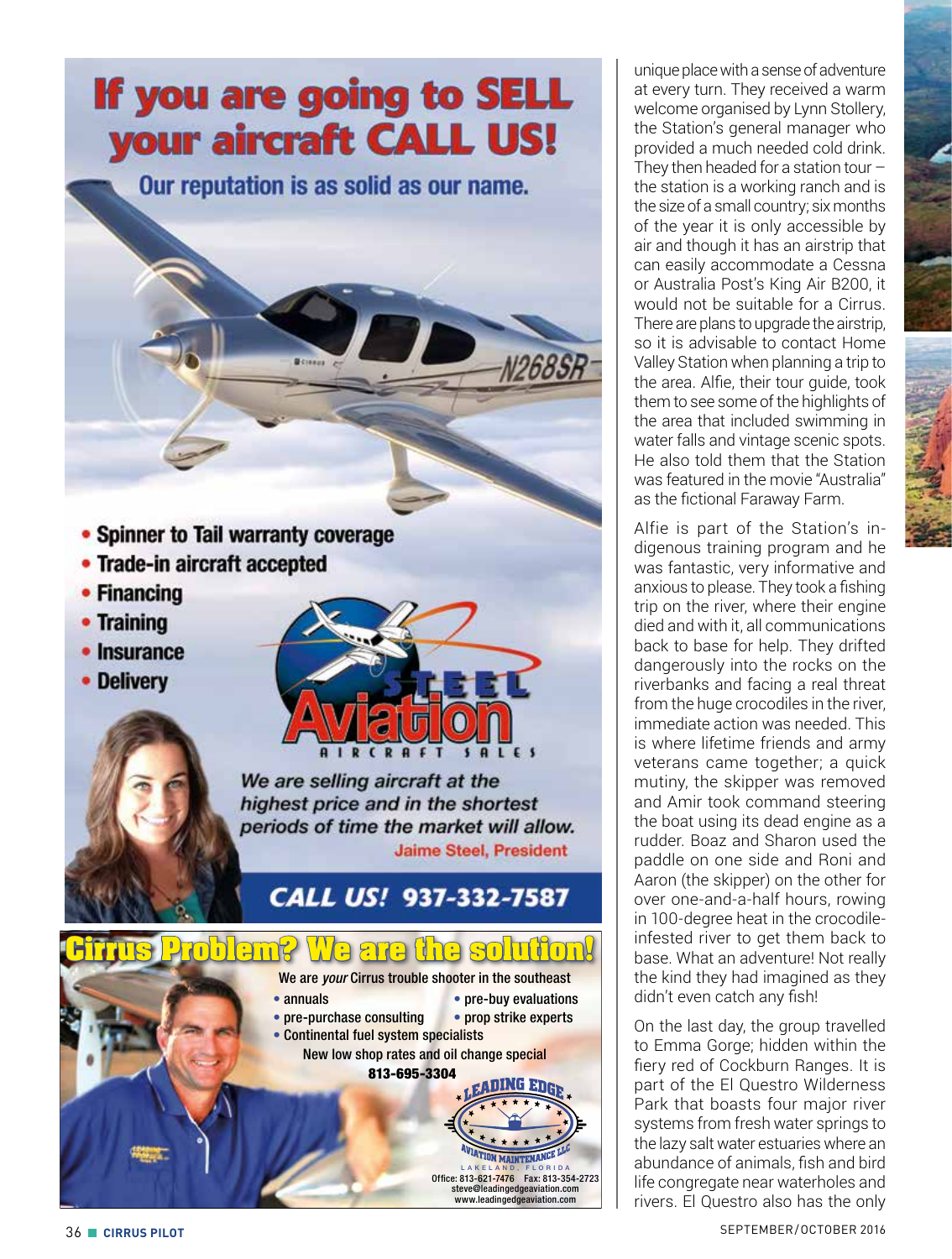## If you are going to SELL your aircraft CALL US!

Our reputation is as solid as our name.

- Spinner to Tail warranty coverage
- Trade-in aircraft accepted
- Financing
- Training
- Insurance
- Delivery



We are selling aircraft at the highest price and in the shortest periods of time the market will allow. **Jaime Steel, President** 

## CALL US! 937-332-7587



unique place with a sense of adventure at every turn. They received a warm welcome organised by Lynn Stollery, the Station's general manager who provided a much needed cold drink. They then headed for a station tour  $$ the station is a working ranch and is the size of a small country; six months of the year it is only accessible by air and though it has an airstrip that can easily accommodate a Cessna or Australia Post's King Air B200, it would not be suitable for a Cirrus. There are plans to upgrade the airstrip. so it is advisable to contact Home Valley Station when planning a trip to the area. Alfie, their tour guide, took them to see some of the highlights of the area that included swimming in water falls and vintage scenic spots. He also told them that the Station was featured in the movie "Australia" as the fictional Faraway Farm.

Alfie is part of the Station's indigenous training program and he was fantastic, very informative and anxious to please. They took a fishing trip on the river, where their engine died and with it, all communications back to base for help. They drifted dangerously into the rocks on the riverbanks and facing a real threat from the huge crocodiles in the river, immediate action was needed. This is where lifetime friends and army veterans came together; a quick mutiny, the skipper was removed and Amir took command steering the boat using its dead engine as a rudder. Boaz and Sharon used the paddle on one side and Roni and Aaron (the skipper) on the other for over one-and-a-half hours, rowing in 100-degree heat in the crocodileinfested river to get them back to base. What an adventure! Not really the kind they had imagined as they didn't even catch any fish!

On the last day, the group travelled to Emma Gorge; hidden within the fiery red of Cockburn Ranges. It is part of the El Questro Wilderness Park that boasts four major river systems from fresh water springs to the lazy salt water estuaries where an abundance of animals, fish and bird life congregate near waterholes and rivers. El Questro also has the only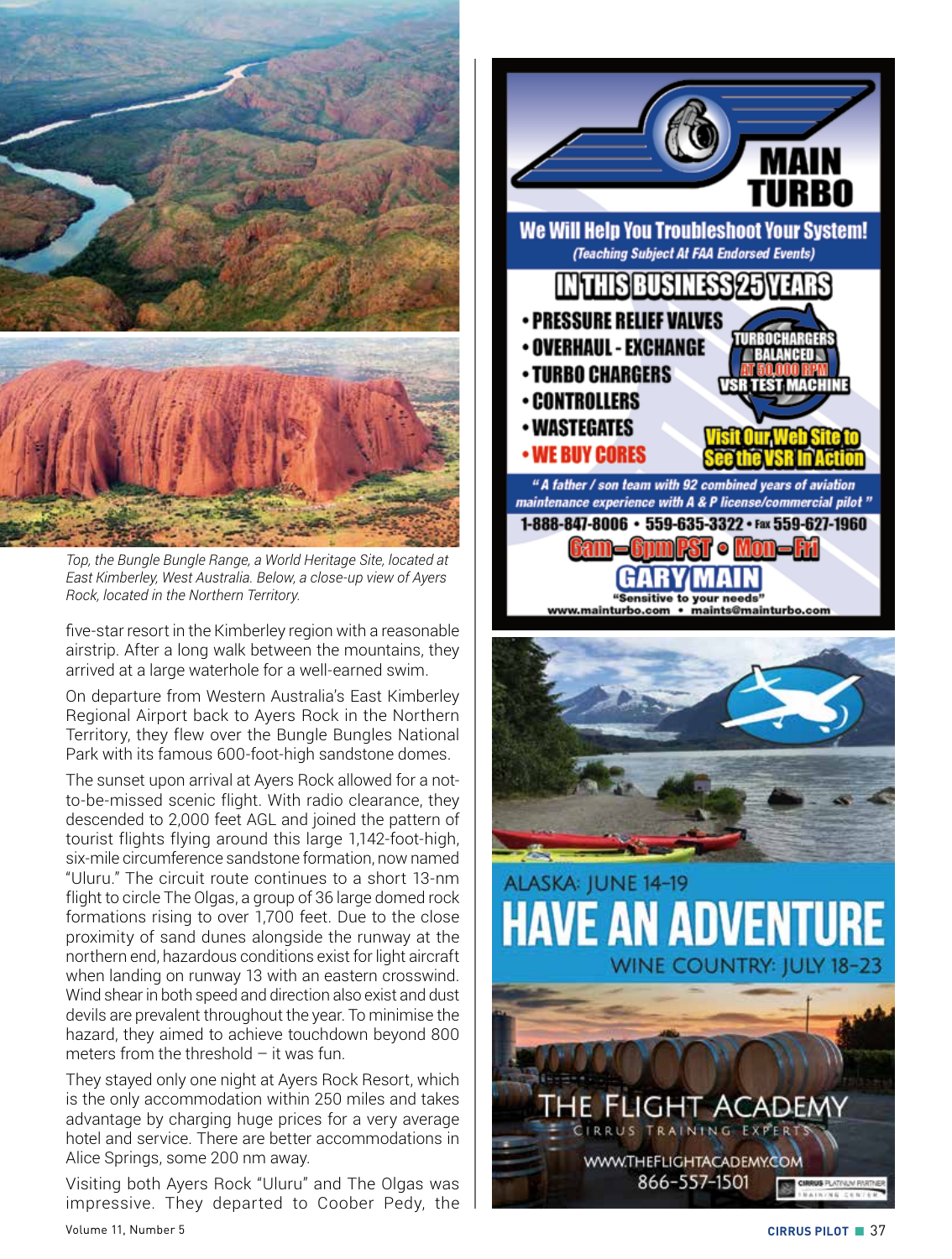

*Top, the Bungle Bungle Range, a World Heritage Site, located at East Kimberley, West Australia. Below, a close-up view of Ayers Rock, located in the Northern Territory.*

five-star resort in the Kimberley region with a reasonable airstrip. After a long walk between the mountains, they arrived at a large waterhole for a well-earned swim.

On departure from Western Australia's East Kimberley Regional Airport back to Ayers Rock in the Northern Territory, they flew over the Bungle Bungles National Park with its famous 600-foot-high sandstone domes.

The sunset upon arrival at Ayers Rock allowed for a notto-be-missed scenic flight. With radio clearance, they descended to 2,000 feet AGL and joined the pattern of tourist flights flying around this large 1,142-foot-high, six-mile circumference sandstone formation, now named "Uluru." The circuit route continues to a short 13-nm flight to circle The Olgas, a group of 36 large domed rock formations rising to over 1,700 feet. Due to the close proximity of sand dunes alongside the runway at the northern end, hazardous conditions exist for light aircraft when landing on runway 13 with an eastern crosswind. Wind shear in both speed and direction also exist and dust devils are prevalent throughout the year. To minimise the hazard, they aimed to achieve touchdown beyond 800 meters from the threshold  $-$  it was fun.

They stayed only one night at Ayers Rock Resort, which is the only accommodation within 250 miles and takes advantage by charging huge prices for a very average hotel and service. There are better accommodations in Alice Springs, some 200 nm away.

Visiting both Ayers Rock "Uluru" and The Olgas was impressive. They departed to Coober Pedy, the



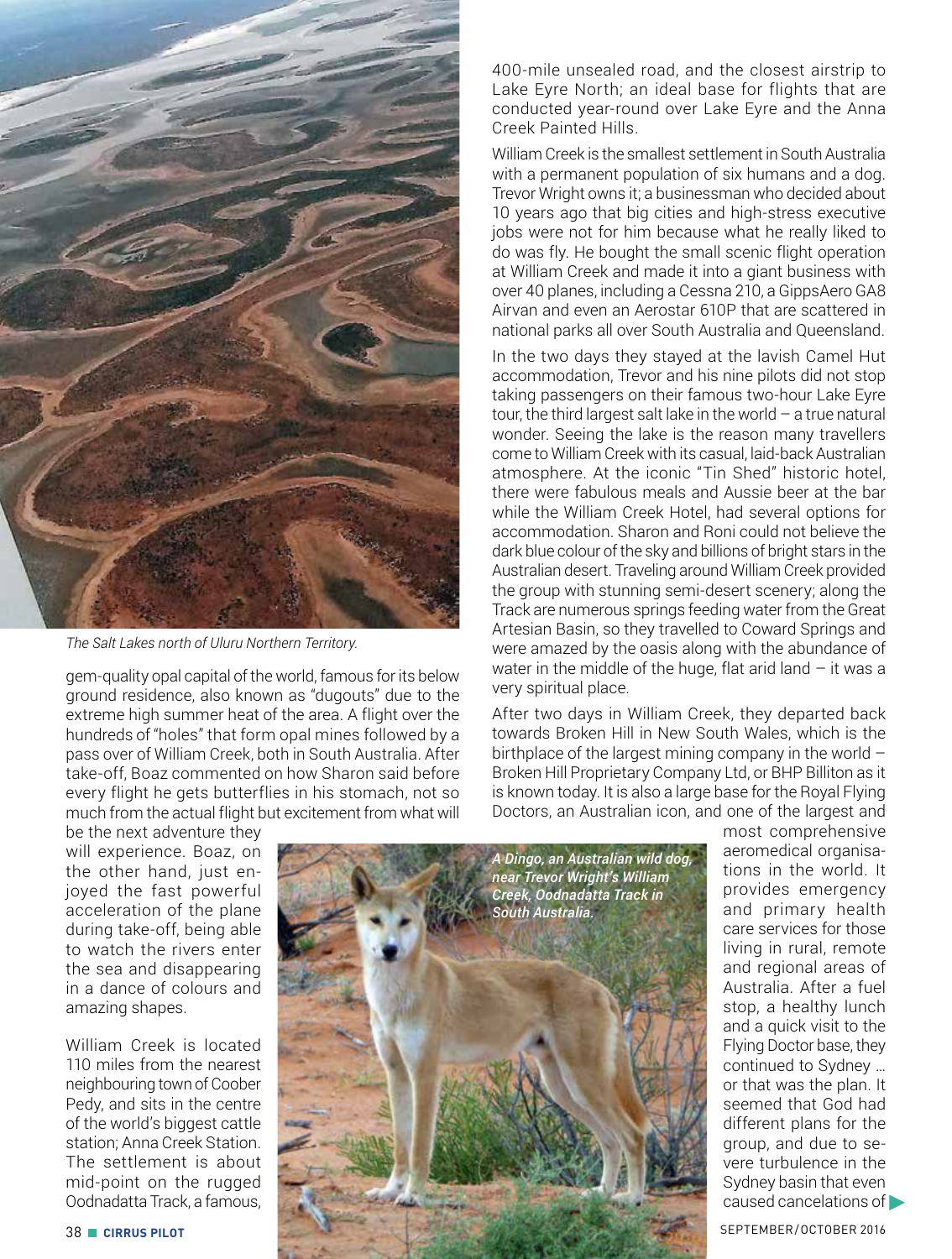

*The Salt Lakes north of Uluru Northern Territory.*

gem-quality opal capital of the world, famous for its below ground residence, also known as "dugouts" due to the extreme high summer heat of the area. A flight over the hundreds of "holes" that form opal mines followed by a pass over of William Creek, both in South Australia. After take-off, Boaz commented on how Sharon said before every flight he gets butterflies in his stomach, not so much from the actual flight but excitement from what will

be the next adventure they will experience. Boaz, on the other hand, just enjoyed the fast powerful acceleration of the plane during take-off, being able to watch the rivers enter the sea and disappearing in a dance of colours and amazing shapes.

William Creek is located 110 miles from the nearest neighbouring town of Coober Pedy, and sits in the centre of the world's biggest cattle station; Anna Creek Station. The settlement is about mid-point on the rugged Oodnadatta Track, a famous,

400-mile unsealed road, and the closest airstrip to Lake Eyre North; an ideal base for flights that are conducted year-round over Lake Eyre and the Anna Creek Painted Hills.

William Creek is the smallest settlement in South Australia with a permanent population of six humans and a dog. Trevor Wright owns it; a businessman who decided about 10 years ago that big cities and high-stress executive jobs were not for him because what he really liked to do was fly. He bought the small scenic flight operation at William Creek and made it into a giant business with over 40 planes, including a Cessna 210, a GippsAero GA8 Airvan and even an Aerostar 610P that are scattered in national parks all over South Australia and Queensland.

In the two days they stayed at the lavish Camel Hut accommodation, Trevor and his nine pilots did not stop taking passengers on their famous two-hour Lake Eyre tour, the third largest salt lake in the world – a true natural wonder. Seeing the lake is the reason many travellers come to William Creek with its casual, laid-back Australian atmosphere. At the iconic "Tin Shed" historic hotel, there were fabulous meals and Aussie beer at the bar while the William Creek Hotel, had several options for accommodation. Sharon and Roni could not believe the dark blue colour of the sky and billions of bright stars in the Australian desert. Traveling around William Creek provided the group with stunning semi-desert scenery; along the Track are numerous springs feeding water from the Great Artesian Basin, so they travelled to Coward Springs and were amazed by the oasis along with the abundance of water in the middle of the huge, flat arid land  $-$  it was a very spiritual place.

After two days in William Creek, they departed back towards Broken Hill in New South Wales, which is the birthplace of the largest mining company in the world – Broken Hill Proprietary Company Ltd, or BHP Billiton as it is known today. It is also a large base for the Royal Flying Doctors, an Australian icon, and one of the largest and



most comprehensive aeromedical organisations in the world. It provides emergency and primary health care services for those living in rural, remote and regional areas of Australia. After a fuel stop, a healthy lunch and a quick visit to the Flying Doctor base, they continued to Sydney … or that was the plan. It seemed that God had different plans for the group, and due to severe turbulence in the Sydney basin that even caused cancelations of �